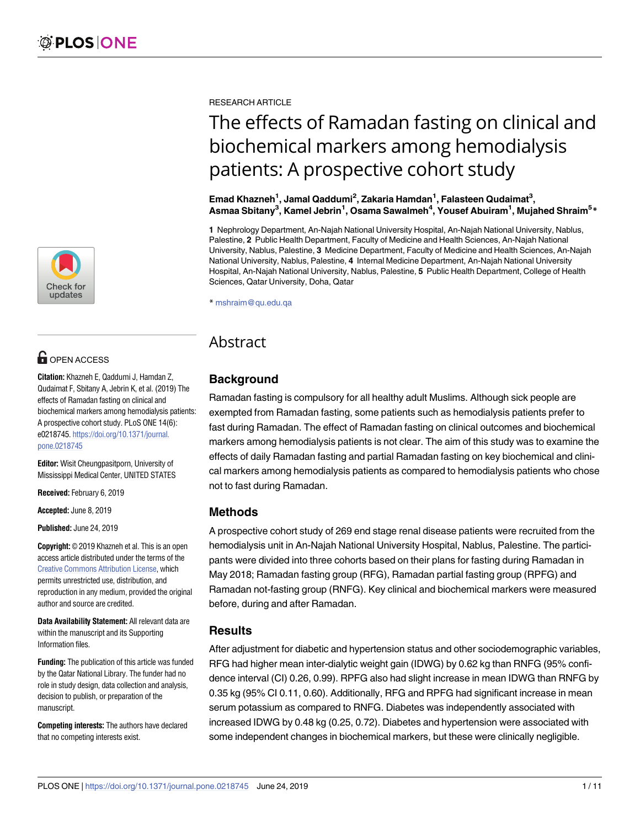

# **OPEN ACCESS**

**Citation:** Khazneh E, Qaddumi J, Hamdan Z, Qudaimat F, Sbitany A, Jebrin K, et al. (2019) The effects of Ramadan fasting on clinical and biochemical markers among hemodialysis patients: A prospective cohort study. PLoS ONE 14(6): e0218745. [https://doi.org/10.1371/journal.](https://doi.org/10.1371/journal.pone.0218745) [pone.0218745](https://doi.org/10.1371/journal.pone.0218745)

**Editor:** Wisit Cheungpasitporn, University of Mississippi Medical Center, UNITED STATES

**Received:** February 6, 2019

**Accepted:** June 8, 2019

**Published:** June 24, 2019

**Copyright:** © 2019 Khazneh et al. This is an open access article distributed under the terms of the Creative Commons [Attribution](http://creativecommons.org/licenses/by/4.0/) License, which permits unrestricted use, distribution, and reproduction in any medium, provided the original author and source are credited.

**Data Availability Statement:** All relevant data are within the manuscript and its Supporting Information files.

**Funding:** The publication of this article was funded by the Qatar National Library. The funder had no role in study design, data collection and analysis, decision to publish, or preparation of the manuscript.

**Competing interests:** The authors have declared that no competing interests exist.

RESEARCH ARTICLE

# The effects of Ramadan fasting on clinical and biochemical markers among hemodialysis patients: A prospective cohort study

**Emad Khazneh1 , Jamal Qaddumi2 , Zakaria Hamdan1 , Falasteen Qudaimat3 , Asmaa Sbitany3 , Kamel Jebrin1 , Osama Sawalmeh4 , Yousef Abuiram1 , Mujahed Shraim5 \***

**1** Nephrology Department, An-Najah National University Hospital, An-Najah National University, Nablus, Palestine, **2** Public Health Department, Faculty of Medicine and Health Sciences, An-Najah National University, Nablus, Palestine, **3** Medicine Department, Faculty of Medicine and Health Sciences, An-Najah National University, Nablus, Palestine, **4** Internal Medicine Department, An-Najah National University Hospital, An-Najah National University, Nablus, Palestine, **5** Public Health Department, College of Health Sciences, Qatar University, Doha, Qatar

\* mshraim@qu.edu.qa

# Abstract

# **Background**

Ramadan fasting is compulsory for all healthy adult Muslims. Although sick people are exempted from Ramadan fasting, some patients such as hemodialysis patients prefer to fast during Ramadan. The effect of Ramadan fasting on clinical outcomes and biochemical markers among hemodialysis patients is not clear. The aim of this study was to examine the effects of daily Ramadan fasting and partial Ramadan fasting on key biochemical and clinical markers among hemodialysis patients as compared to hemodialysis patients who chose not to fast during Ramadan.

## **Methods**

A prospective cohort study of 269 end stage renal disease patients were recruited from the hemodialysis unit in An-Najah National University Hospital, Nablus, Palestine. The participants were divided into three cohorts based on their plans for fasting during Ramadan in May 2018; Ramadan fasting group (RFG), Ramadan partial fasting group (RPFG) and Ramadan not-fasting group (RNFG). Key clinical and biochemical markers were measured before, during and after Ramadan.

## **Results**

After adjustment for diabetic and hypertension status and other sociodemographic variables, RFG had higher mean inter-dialytic weight gain (IDWG) by 0.62 kg than RNFG (95% confidence interval (CI) 0.26, 0.99). RPFG also had slight increase in mean IDWG than RNFG by 0.35 kg (95% CI 0.11, 0.60). Additionally, RFG and RPFG had significant increase in mean serum potassium as compared to RNFG. Diabetes was independently associated with increased IDWG by 0.48 kg (0.25, 0.72). Diabetes and hypertension were associated with some independent changes in biochemical markers, but these were clinically negligible.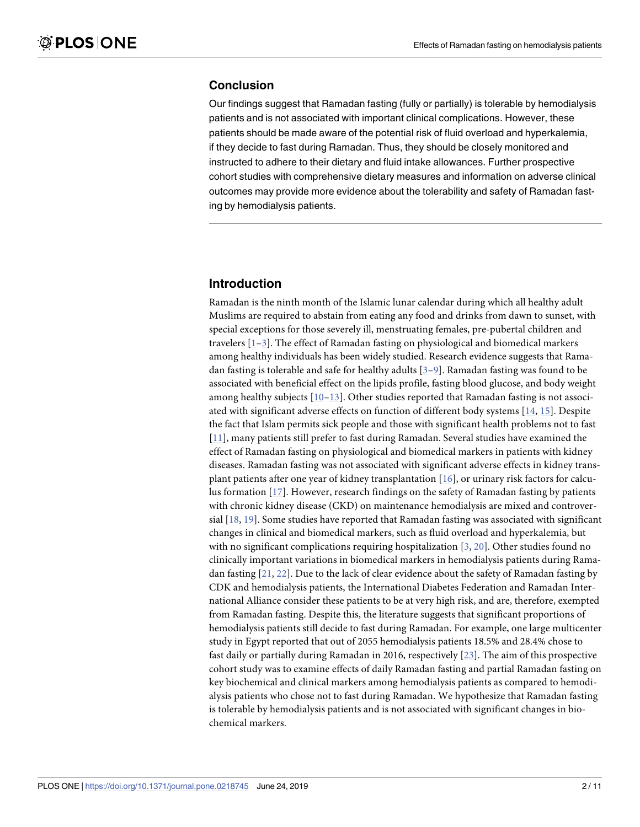#### <span id="page-1-0"></span>**Conclusion**

Our findings suggest that Ramadan fasting (fully or partially) is tolerable by hemodialysis patients and is not associated with important clinical complications. However, these patients should be made aware of the potential risk of fluid overload and hyperkalemia, if they decide to fast during Ramadan. Thus, they should be closely monitored and instructed to adhere to their dietary and fluid intake allowances. Further prospective cohort studies with comprehensive dietary measures and information on adverse clinical outcomes may provide more evidence about the tolerability and safety of Ramadan fasting by hemodialysis patients.

# **Introduction**

Ramadan is the ninth month of the Islamic lunar calendar during which all healthy adult Muslims are required to abstain from eating any food and drinks from dawn to sunset, with special exceptions for those severely ill, menstruating females, pre-pubertal children and travelers [\[1–3](#page-9-0)]. The effect of Ramadan fasting on physiological and biomedical markers among healthy individuals has been widely studied. Research evidence suggests that Ramadan fasting is tolerable and safe for healthy adults [[3–9\]](#page-9-0). Ramadan fasting was found to be associated with beneficial effect on the lipids profile, fasting blood glucose, and body weight among healthy subjects  $[10-13]$ . Other studies reported that Ramadan fasting is not associated with significant adverse effects on function of different body systems [[14](#page-9-0), [15](#page-9-0)]. Despite the fact that Islam permits sick people and those with significant health problems not to fast [\[11](#page-9-0)], many patients still prefer to fast during Ramadan. Several studies have examined the effect of Ramadan fasting on physiological and biomedical markers in patients with kidney diseases. Ramadan fasting was not associated with significant adverse effects in kidney transplant patients after one year of kidney transplantation [\[16](#page-10-0)], or urinary risk factors for calculus formation [[17](#page-10-0)]. However, research findings on the safety of Ramadan fasting by patients with chronic kidney disease (CKD) on maintenance hemodialysis are mixed and controversial  $[18, 19]$  $[18, 19]$  $[18, 19]$  $[18, 19]$ . Some studies have reported that Ramadan fasting was associated with significant changes in clinical and biomedical markers, such as fluid overload and hyperkalemia, but with no significant complications requiring hospitalization [\[3,](#page-9-0) [20](#page-10-0)]. Other studies found no clinically important variations in biomedical markers in hemodialysis patients during Ramadan fasting [[21](#page-10-0), [22](#page-10-0)]. Due to the lack of clear evidence about the safety of Ramadan fasting by CDK and hemodialysis patients, the International Diabetes Federation and Ramadan International Alliance consider these patients to be at very high risk, and are, therefore, exempted from Ramadan fasting. Despite this, the literature suggests that significant proportions of hemodialysis patients still decide to fast during Ramadan. For example, one large multicenter study in Egypt reported that out of 2055 hemodialysis patients 18.5% and 28.4% chose to fast daily or partially during Ramadan in 2016, respectively [[23\]](#page-10-0). The aim of this prospective cohort study was to examine effects of daily Ramadan fasting and partial Ramadan fasting on key biochemical and clinical markers among hemodialysis patients as compared to hemodialysis patients who chose not to fast during Ramadan. We hypothesize that Ramadan fasting is tolerable by hemodialysis patients and is not associated with significant changes in biochemical markers.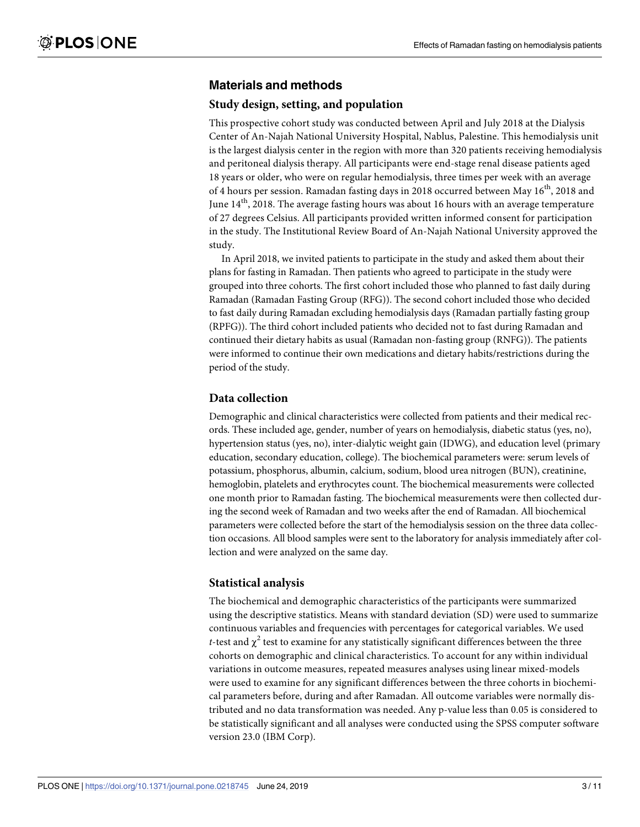#### **Materials and methods**

#### **Study design, setting, and population**

This prospective cohort study was conducted between April and July 2018 at the Dialysis Center of An-Najah National University Hospital, Nablus, Palestine. This hemodialysis unit is the largest dialysis center in the region with more than 320 patients receiving hemodialysis and peritoneal dialysis therapy. All participants were end-stage renal disease patients aged 18 years or older, who were on regular hemodialysis, three times per week with an average of 4 hours per session. Ramadan fasting days in 2018 occurred between May 16<sup>th</sup>, 2018 and June 14<sup>th</sup>, 2018. The average fasting hours was about 16 hours with an average temperature of 27 degrees Celsius. All participants provided written informed consent for participation in the study. The Institutional Review Board of An-Najah National University approved the study.

In April 2018, we invited patients to participate in the study and asked them about their plans for fasting in Ramadan. Then patients who agreed to participate in the study were grouped into three cohorts. The first cohort included those who planned to fast daily during Ramadan (Ramadan Fasting Group (RFG)). The second cohort included those who decided to fast daily during Ramadan excluding hemodialysis days (Ramadan partially fasting group (RPFG)). The third cohort included patients who decided not to fast during Ramadan and continued their dietary habits as usual (Ramadan non-fasting group (RNFG)). The patients were informed to continue their own medications and dietary habits/restrictions during the period of the study.

#### **Data collection**

Demographic and clinical characteristics were collected from patients and their medical records. These included age, gender, number of years on hemodialysis, diabetic status (yes, no), hypertension status (yes, no), inter-dialytic weight gain (IDWG), and education level (primary education, secondary education, college). The biochemical parameters were: serum levels of potassium, phosphorus, albumin, calcium, sodium, blood urea nitrogen (BUN), creatinine, hemoglobin, platelets and erythrocytes count. The biochemical measurements were collected one month prior to Ramadan fasting. The biochemical measurements were then collected during the second week of Ramadan and two weeks after the end of Ramadan. All biochemical parameters were collected before the start of the hemodialysis session on the three data collection occasions. All blood samples were sent to the laboratory for analysis immediately after collection and were analyzed on the same day.

#### **Statistical analysis**

The biochemical and demographic characteristics of the participants were summarized using the descriptive statistics. Means with standard deviation (SD) were used to summarize continuous variables and frequencies with percentages for categorical variables. We used *t*-test and  $\chi^2$  test to examine for any statistically significant differences between the three cohorts on demographic and clinical characteristics. To account for any within individual variations in outcome measures, repeated measures analyses using linear mixed-models were used to examine for any significant differences between the three cohorts in biochemical parameters before, during and after Ramadan. All outcome variables were normally distributed and no data transformation was needed. Any p-value less than 0.05 is considered to be statistically significant and all analyses were conducted using the SPSS computer software version 23.0 (IBM Corp).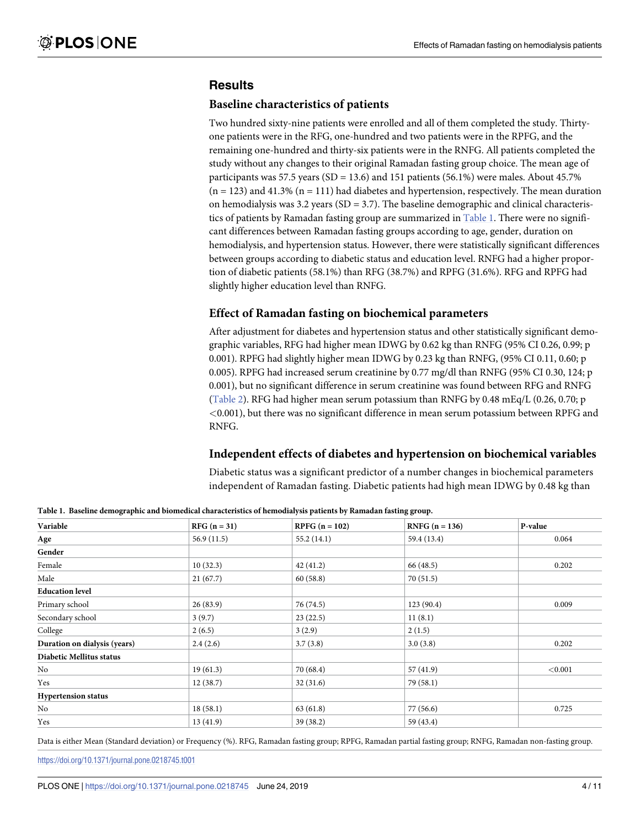# <span id="page-3-0"></span>**Results**

#### **Baseline characteristics of patients**

Two hundred sixty-nine patients were enrolled and all of them completed the study. Thirtyone patients were in the RFG, one-hundred and two patients were in the RPFG, and the remaining one-hundred and thirty-six patients were in the RNFG. All patients completed the study without any changes to their original Ramadan fasting group choice. The mean age of participants was 57.5 years (SD = 13.6) and 151 patients (56.1%) were males. About 45.7%  $(n = 123)$  and 41.3%  $(n = 111)$  had diabetes and hypertension, respectively. The mean duration on hemodialysis was 3.2 years ( $SD = 3.7$ ). The baseline demographic and clinical characteristics of patients by Ramadan fasting group are summarized in Table 1. There were no significant differences between Ramadan fasting groups according to age, gender, duration on hemodialysis, and hypertension status. However, there were statistically significant differences between groups according to diabetic status and education level. RNFG had a higher proportion of diabetic patients (58.1%) than RFG (38.7%) and RPFG (31.6%). RFG and RPFG had slightly higher education level than RNFG.

#### **Effect of Ramadan fasting on biochemical parameters**

After adjustment for diabetes and hypertension status and other statistically significant demographic variables, RFG had higher mean IDWG by 0.62 kg than RNFG (95% CI 0.26, 0.99; p 0.001). RPFG had slightly higher mean IDWG by 0.23 kg than RNFG, (95% CI 0.11, 0.60; p 0.005). RPFG had increased serum creatinine by 0.77 mg/dl than RNFG (95% CI 0.30, 124; p 0.001), but no significant difference in serum creatinine was found between RFG and RNFG [\(Table](#page-4-0) 2). RFG had higher mean serum potassium than RNFG by 0.48 mEq/L (0.26, 0.70; p *<*0.001), but there was no significant difference in mean serum potassium between RPFG and RNFG.

#### **Independent effects of diabetes and hypertension on biochemical variables**

Diabetic status was a significant predictor of a number changes in biochemical parameters independent of Ramadan fasting. Diabetic patients had high mean IDWG by 0.48 kg than

| Variable                     | $RFG (n = 31)$ | RPFG $(n = 102)$ | <b>RNFG</b> $(n = 136)$ | P-value |
|------------------------------|----------------|------------------|-------------------------|---------|
| Age                          | 56.9(11.5)     | 55.2(14.1)       | 59.4 (13.4)             | 0.064   |
| Gender                       |                |                  |                         |         |
| Female                       | 10(32.3)       | 42(41.2)         | 66 (48.5)               | 0.202   |
| Male                         | 21(67.7)       | 60(58.8)         | 70(51.5)                |         |
| <b>Education level</b>       |                |                  |                         |         |
| Primary school               | 26(83.9)       | 76 (74.5)        | 123(90.4)               | 0.009   |
| Secondary school             | 3(9.7)         | 23(22.5)         | 11(8.1)                 |         |
| College                      | 2(6.5)         | 3(2.9)           | 2(1.5)                  |         |
| Duration on dialysis (years) | 2.4(2.6)       | 3.7(3.8)         | 3.0(3.8)                | 0.202   |
| Diabetic Mellitus status     |                |                  |                         |         |
| No                           | 19(61.3)       | 70 (68.4)        | 57 (41.9)               | < 0.001 |
| Yes                          | 12(38.7)       | 32(31.6)         | 79(58.1)                |         |
| <b>Hypertension status</b>   |                |                  |                         |         |
| No                           | 18(58.1)       | 63(61.8)         | 77 (56.6)               | 0.725   |
| Yes                          | 13(41.9)       | 39 (38.2)        | 59 (43.4)               |         |

**Table 1. Baseline demographic and biomedical characteristics of hemodialysis patients by Ramadan fasting group.**

Data is either Mean (Standard deviation) or Frequency (%). RFG, Ramadan fasting group; RPFG, Ramadan partial fasting group; RNFG, Ramadan non-fasting group.

<https://doi.org/10.1371/journal.pone.0218745.t001>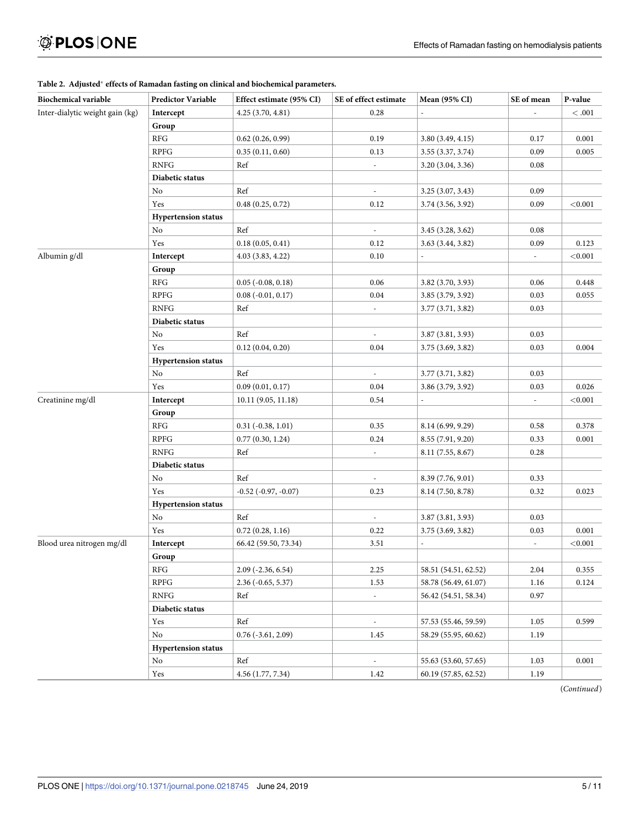| <b>Biochemical variable</b>     | <b>Predictor Variable</b>  | Effect estimate (95% CI) | SE of effect estimate    | <b>Mean</b> (95% CI)     | SE of mean               | P-value    |
|---------------------------------|----------------------------|--------------------------|--------------------------|--------------------------|--------------------------|------------|
| Inter-dialytic weight gain (kg) | Intercept                  | 4.25(3.70, 4.81)         | 0.28                     | $\overline{\phantom{a}}$ |                          | $< .001\,$ |
|                                 | Group                      |                          |                          |                          |                          |            |
|                                 | RFG                        | 0.62(0.26, 0.99)         | 0.19                     | 3.80(3.49, 4.15)         | 0.17                     | 0.001      |
|                                 | <b>RPFG</b>                | 0.35(0.11, 0.60)         | 0.13                     | 3.55 (3.37, 3.74)        | 0.09                     | 0.005      |
|                                 | <b>RNFG</b>                | Ref                      | $\overline{\phantom{a}}$ | 3.20 (3.04, 3.36)        | 0.08                     |            |
|                                 | Diabetic status            |                          |                          |                          |                          |            |
|                                 | No                         | Ref                      |                          | 3.25(3.07, 3.43)         | 0.09                     |            |
|                                 | Yes                        | 0.48(0.25, 0.72)         | 0.12                     | 3.74(3.56, 3.92)         | 0.09                     | < 0.001    |
|                                 | <b>Hypertension status</b> |                          |                          |                          |                          |            |
|                                 | No                         | Ref                      |                          | 3.45 (3.28, 3.62)        | 0.08                     |            |
|                                 | Yes                        | 0.18(0.05, 0.41)         | 0.12                     | 3.63 (3.44, 3.82)        | 0.09                     | 0.123      |
| Albumin g/dl                    | Intercept                  | 4.03(3.83, 4.22)         | 0.10                     |                          | $\overline{\phantom{a}}$ | < 0.001    |
|                                 | Group                      |                          |                          |                          |                          |            |
|                                 | RFG                        | $0.05$ ( $-0.08, 0.18$ ) | 0.06                     | 3.82 (3.70, 3.93)        | 0.06                     | 0.448      |
|                                 | <b>RPFG</b>                | $0.08(-0.01, 0.17)$      | 0.04                     | 3.85(3.79, 3.92)         | 0.03                     | 0.055      |
|                                 | <b>RNFG</b>                | Ref                      | $\overline{\phantom{a}}$ | 3.77(3.71, 3.82)         | 0.03                     |            |
|                                 | Diabetic status            |                          |                          |                          |                          |            |
|                                 | No                         | Ref                      | $\overline{\phantom{a}}$ | 3.87 (3.81, 3.93)        | 0.03                     |            |
|                                 | Yes                        | 0.12(0.04, 0.20)         | 0.04                     | 3.75(3.69, 3.82)         | 0.03                     | 0.004      |
|                                 | <b>Hypertension status</b> |                          |                          |                          |                          |            |
|                                 | No                         | Ref                      |                          | 3.77 (3.71, 3.82)        | 0.03                     |            |
|                                 | Yes                        | 0.09(0.01, 0.17)         | 0.04                     | 3.86 (3.79, 3.92)        | 0.03                     | 0.026      |
| Creatinine mg/dl                | Intercept                  | 10.11 (9.05, 11.18)      | 0.54                     |                          | $\overline{\phantom{a}}$ | < 0.001    |
|                                 | Group                      |                          |                          |                          |                          |            |
|                                 | RFG                        | $0.31 (-0.38, 1.01)$     | 0.35                     | 8.14 (6.99, 9.29)        | 0.58                     | 0.378      |
|                                 | <b>RPFG</b>                | 0.77(0.30, 1.24)         | 0.24                     | 8.55 (7.91, 9.20)        | 0.33                     | 0.001      |
|                                 | <b>RNFG</b>                | Ref                      | $\overline{\phantom{a}}$ | 8.11 (7.55, 8.67)        | 0.28                     |            |
|                                 | Diabetic status            |                          |                          |                          |                          |            |
|                                 | No                         | Ref                      | $\overline{\phantom{a}}$ | 8.39 (7.76, 9.01)        | 0.33                     |            |
|                                 | Yes                        | $-0.52$ $(-0.97, -0.07)$ | 0.23                     | 8.14 (7.50, 8.78)        | 0.32                     | 0.023      |
|                                 | <b>Hypertension status</b> |                          |                          |                          |                          |            |
|                                 | No                         | Ref                      |                          | 3.87(3.81, 3.93)         | 0.03                     |            |
|                                 | Yes                        | 0.72(0.28, 1.16)         | 0.22                     | 3.75(3.69, 3.82)         | 0.03                     | 0.001      |
| Blood urea nitrogen mg/dl       | Intercept                  | 66.42 (59.50, 73.34)     | 3.51                     |                          | $\overline{\phantom{a}}$ | < 0.001    |
|                                 | Group                      |                          |                          |                          |                          |            |
|                                 | RFG                        | $2.09$ ( $-2.36, 6.54$ ) | 2.25                     | 58.51 (54.51, 62.52)     | 2.04                     | 0.355      |
|                                 | <b>RPFG</b>                | $2.36(-0.65, 5.37)$      | 1.53                     | 58.78 (56.49, 61.07)     | 1.16                     | 0.124      |
|                                 | RNFG                       | Ref                      | $\overline{\phantom{a}}$ | 56.42 (54.51, 58.34)     | 0.97                     |            |
|                                 | Diabetic status            |                          |                          |                          |                          |            |
|                                 | Yes                        | Ref                      | $\overline{\phantom{a}}$ | 57.53 (55.46, 59.59)     | 1.05                     | 0.599      |
|                                 | No                         | $0.76$ ( $-3.61$ , 2.09) | 1.45                     | 58.29 (55.95, 60.62)     | 1.19                     |            |
|                                 | <b>Hypertension status</b> |                          |                          |                          |                          |            |
|                                 | No                         | Ref                      | $\overline{\phantom{a}}$ | 55.63 (53.60, 57.65)     | 1.03                     | 0.001      |
|                                 | Yes                        | 4.56 (1.77, 7.34)        | $1.42\,$                 | 60.19 (57.85, 62.52)     | 1.19                     |            |

#### <span id="page-4-0"></span>**[Table](#page-3-0) 2. Adjusted**� **effects of Ramadan fasting on clinical and biochemical parameters.**

(*Continued*)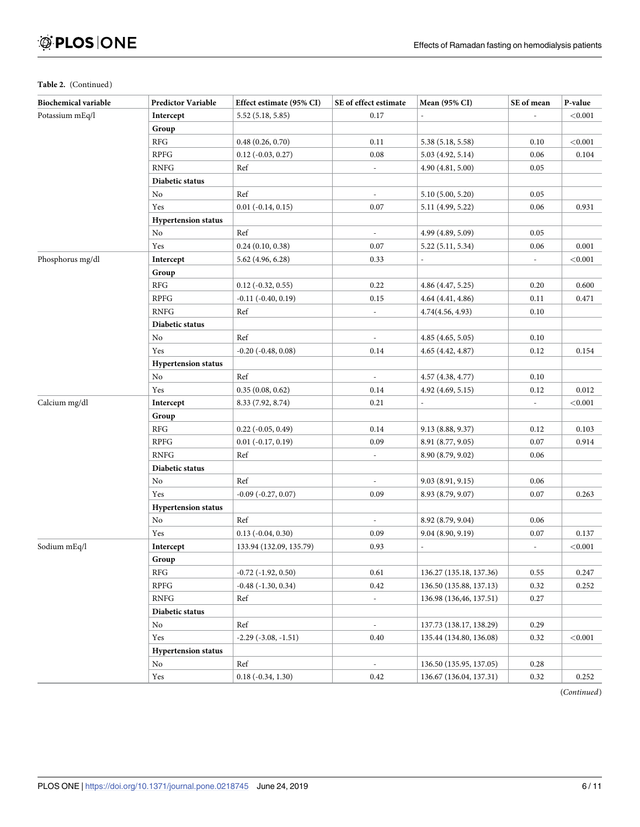#### **Table 2.** (Continued)

| <b>Biochemical variable</b> | <b>Predictor Variable</b>  | Effect estimate (95% CI)    | SE of effect estimate    | Mean (95% CI)            | SE of mean               | P-value |
|-----------------------------|----------------------------|-----------------------------|--------------------------|--------------------------|--------------------------|---------|
| Potassium mEq/l             | Intercept                  | 5.52 (5.18, 5.85)           | 0.17                     |                          |                          | < 0.001 |
|                             | Group                      |                             |                          |                          |                          |         |
|                             | RFG                        | 0.48(0.26, 0.70)            | 0.11                     | 5.38 (5.18, 5.58)        | 0.10                     | < 0.001 |
|                             | <b>RPFG</b>                | $0.12$ ( $-0.03$ , $0.27$ ) | $0.08\,$                 | 5.03 (4.92, 5.14)        | 0.06                     | 0.104   |
|                             | <b>RNFG</b>                | Ref                         |                          | 4.90(4.81, 5.00)         | 0.05                     |         |
|                             | Diabetic status            |                             |                          |                          |                          |         |
|                             | No                         | Ref                         |                          | 5.10 (5.00, 5.20)        | 0.05                     |         |
|                             | Yes                        | $0.01 (-0.14, 0.15)$        | 0.07                     | 5.11 (4.99, 5.22)        | 0.06                     | 0.931   |
|                             | <b>Hypertension status</b> |                             |                          |                          |                          |         |
|                             | No                         | Ref                         | $\overline{\phantom{a}}$ | 4.99 (4.89, 5.09)        | 0.05                     |         |
|                             | Yes                        | 0.24(0.10, 0.38)            | 0.07                     | 5.22(5.11, 5.34)         | 0.06                     | 0.001   |
| Phosphorus mg/dl            | Intercept                  | 5.62 (4.96, 6.28)           | 0.33                     | $\overline{\phantom{a}}$ | $\sim$                   | < 0.001 |
|                             | Group                      |                             |                          |                          |                          |         |
|                             | RFG                        | $0.12$ ( $-0.32$ , $0.55$ ) | 0.22                     | 4.86 (4.47, 5.25)        | 0.20                     | 0.600   |
|                             | <b>RPFG</b>                | $-0.11$ $(-0.40, 0.19)$     | 0.15                     | 4.64(4.41, 4.86)         | 0.11                     | 0.471   |
|                             | <b>RNFG</b>                | Ref                         | $\overline{\phantom{a}}$ | 4.74(4.56, 4.93)         | 0.10                     |         |
|                             | Diabetic status            |                             |                          |                          |                          |         |
|                             | No                         | Ref                         |                          | 4.85(4.65, 5.05)         | 0.10                     |         |
|                             | Yes                        | $-0.20$ $(-0.48, 0.08)$     | 0.14                     | 4.65(4.42, 4.87)         | 0.12                     | 0.154   |
|                             | <b>Hypertension status</b> |                             |                          |                          |                          |         |
|                             | No                         | Ref                         |                          | 4.57 (4.38, 4.77)        | 0.10                     |         |
|                             | Yes                        | 0.35(0.08, 0.62)            | 0.14                     | 4.92(4.69, 5.15)         | 0.12                     | 0.012   |
| Calcium mg/dl               | Intercept                  | 8.33 (7.92, 8.74)           | 0.21                     |                          | $\overline{\phantom{a}}$ | < 0.001 |
|                             | Group                      |                             |                          |                          |                          |         |
|                             | RFG                        | $0.22$ ( $-0.05, 0.49$ )    | 0.14                     | 9.13 (8.88, 9.37)        | 0.12                     | 0.103   |
|                             | <b>RPFG</b>                | $0.01 (-0.17, 0.19)$        | 0.09                     | 8.91 (8.77, 9.05)        | 0.07                     | 0.914   |
|                             | <b>RNFG</b>                | Ref                         | $\overline{\phantom{a}}$ | 8.90 (8.79, 9.02)        | 0.06                     |         |
|                             | Diabetic status            |                             |                          |                          |                          |         |
|                             | No                         | Ref                         |                          | 9.03 (8.91, 9.15)        | 0.06                     |         |
|                             | Yes                        | $-0.09$ $(-0.27, 0.07)$     | 0.09                     | 8.93 (8.79, 9.07)        | 0.07                     | 0.263   |
|                             | <b>Hypertension status</b> |                             |                          |                          |                          |         |
|                             | No                         | Ref                         | $\overline{\phantom{a}}$ | 8.92 (8.79, 9.04)        | 0.06                     |         |
|                             | Yes                        | $0.13$ ( $-0.04$ , $0.30$ ) | 0.09                     | 9.04 (8.90, 9.19)        | 0.07                     | 0.137   |
| Sodium mEq/l                | Intercept                  | 133.94 (132.09, 135.79)     | 0.93                     | $\frac{1}{2}$            | $\overline{\phantom{a}}$ | < 0.001 |
|                             | Group                      |                             |                          |                          |                          |         |
|                             | RFG                        | $-0.72$ $(-1.92, 0.50)$     | 0.61                     | 136.27 (135.18, 137.36)  | 0.55                     | 0.247   |
|                             | <b>RPFG</b>                | $-0.48$ $(-1.30, 0.34)$     | 0.42                     | 136.50 (135.88, 137.13)  | 0.32                     | 0.252   |
|                             | <b>RNFG</b>                | Ref                         | $\overline{\phantom{a}}$ | 136.98 (136,46, 137.51)  | 0.27                     |         |
|                             | Diabetic status            |                             |                          |                          |                          |         |
|                             | No                         | Ref                         | $\overline{\phantom{a}}$ | 137.73 (138.17, 138.29)  | 0.29                     |         |
|                             | Yes                        | $-2.29$ $(-3.08, -1.51)$    | 0.40                     | 135.44 (134.80, 136.08)  | 0.32                     | < 0.001 |
|                             | <b>Hypertension status</b> |                             |                          |                          |                          |         |
|                             | No                         | Ref                         |                          | 136.50 (135.95, 137.05)  | 0.28                     |         |
|                             | Yes                        | $0.18(-0.34, 1.30)$         | 0.42                     | 136.67 (136.04, 137.31)  | 0.32                     | 0.252   |

(*Continued*)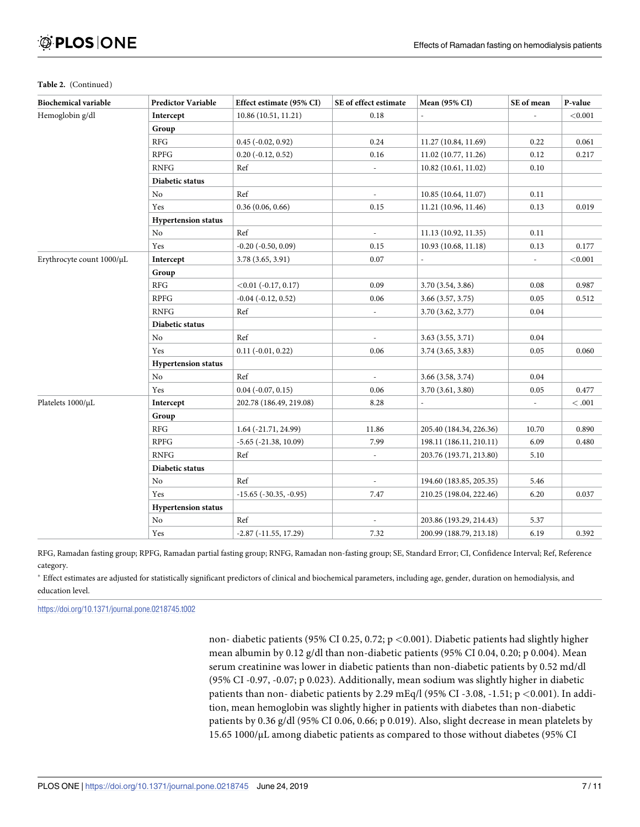#### **Table 2.** (Continued)

| <b>Biochemical variable</b> | <b>Predictor Variable</b>  | Effect estimate (95% CI)        | SE of effect estimate    | Mean (95% CI)           | SE of mean               | P-value |
|-----------------------------|----------------------------|---------------------------------|--------------------------|-------------------------|--------------------------|---------|
| Hemoglobin g/dl             | Intercept                  | 10.86 (10.51, 11.21)            | 0.18                     |                         | $\overline{\phantom{a}}$ | < 0.001 |
|                             | Group                      |                                 |                          |                         |                          |         |
|                             | <b>RFG</b>                 | $0.45$ ( $-0.02$ , $0.92$ )     | 0.24                     | 11.27 (10.84, 11.69)    | 0.22                     | 0.061   |
|                             | <b>RPFG</b>                | $0.20$ ( $-0.12$ , $0.52$ )     | 0.16                     | 11.02 (10.77, 11.26)    | 0.12                     | 0.217   |
|                             | <b>RNFG</b>                | Ref                             | $\overline{\phantom{a}}$ | 10.82 (10.61, 11.02)    | 0.10                     |         |
|                             | Diabetic status            |                                 |                          |                         |                          |         |
|                             | No                         | Ref                             | $\overline{\phantom{a}}$ | 10.85 (10.64, 11.07)    | 0.11                     |         |
|                             | Yes                        | 0.36(0.06, 0.66)                | 0.15                     | 11.21 (10.96, 11.46)    | 0.13                     | 0.019   |
|                             | <b>Hypertension status</b> |                                 |                          |                         |                          |         |
|                             | No                         | Ref                             |                          | 11.13 (10.92, 11.35)    | 0.11                     |         |
|                             | Yes                        | $-0.20$ $(-0.50, 0.09)$         | 0.15                     | 10.93 (10.68, 11.18)    | 0.13                     | 0.177   |
| Erythrocyte count 1000/µL   | Intercept                  | 3.78 (3.65, 3.91)               | 0.07                     |                         | $\overline{\phantom{a}}$ | < 0.001 |
|                             | Group                      |                                 |                          |                         |                          |         |
|                             | <b>RFG</b>                 | $<0.01$ ( $-0.17, 0.17$ )       | 0.09                     | 3.70 (3.54, 3.86)       | 0.08                     | 0.987   |
|                             | <b>RPFG</b>                | $-0.04$ $(-0.12, 0.52)$         | 0.06                     | 3.66 (3.57, 3.75)       | 0.05                     | 0.512   |
|                             | <b>RNFG</b>                | Ref                             | $\overline{\phantom{a}}$ | 3.70 (3.62, 3.77)       | 0.04                     |         |
|                             | Diabetic status            |                                 |                          |                         |                          |         |
|                             | No                         | Ref                             |                          | 3.63 (3.55, 3.71)       | 0.04                     |         |
|                             | Yes                        | $0.11 (-0.01, 0.22)$            | 0.06                     | 3.74 (3.65, 3.83)       | 0.05                     | 0.060   |
|                             | <b>Hypertension status</b> |                                 |                          |                         |                          |         |
|                             | No                         | Ref                             | $\overline{\phantom{a}}$ | 3.66 (3.58, 3.74)       | 0.04                     |         |
|                             | Yes                        | $0.04$ ( $-0.07, 0.15$ )        | 0.06                     | 3.70(3.61, 3.80)        | 0.05                     | 0.477   |
| Platelets 1000/µL           | Intercept                  | 202.78 (186.49, 219.08)         | 8.28                     |                         |                          | < 0.001 |
|                             | Group                      |                                 |                          |                         |                          |         |
|                             | <b>RFG</b>                 | 1.64 (-21.71, 24.99)            | 11.86                    | 205.40 (184.34, 226.36) | 10.70                    | 0.890   |
|                             | <b>RPFG</b>                | $-5.65$ $(-21.38, 10.09)$       | 7.99                     | 198.11 (186.11, 210.11) | 6.09                     | 0.480   |
|                             | <b>RNFG</b>                | Ref                             | $\overline{\phantom{a}}$ | 203.76 (193.71, 213.80) | 5.10                     |         |
|                             | Diabetic status            |                                 |                          |                         |                          |         |
|                             | No                         | Ref                             |                          | 194.60 (183.85, 205.35) | 5.46                     |         |
|                             | Yes                        | $-15.65$ ( $-30.35$ , $-0.95$ ) | 7.47                     | 210.25 (198.04, 222.46) | 6.20                     | 0.037   |
|                             | <b>Hypertension status</b> |                                 |                          |                         |                          |         |
|                             | No                         | Ref                             |                          | 203.86 (193.29, 214.43) | 5.37                     |         |
|                             | Yes                        | $-2.87$ ( $-11.55$ , 17.29)     | 7.32                     | 200.99 (188.79, 213.18) | 6.19                     | 0.392   |

RFG, Ramadan fasting group; RPFG, Ramadan partial fasting group; RNFG, Ramadan non-fasting group; SE, Standard Error; CI, Confidence Interval; Ref, Reference category.

� Effect estimates are adjusted for statistically significant predictors of clinical and biochemical parameters, including age, gender, duration on hemodialysis, and education level.

<https://doi.org/10.1371/journal.pone.0218745.t002>

non- diabetic patients (95% CI 0.25, 0.72; p *<*0.001). Diabetic patients had slightly higher mean albumin by 0.12 g/dl than non-diabetic patients (95% CI 0.04, 0.20; p 0.004). Mean serum creatinine was lower in diabetic patients than non-diabetic patients by 0.52 md/dl (95% CI -0.97, -0.07; p 0.023). Additionally, mean sodium was slightly higher in diabetic patients than non- diabetic patients by 2.29 mEq/l (95% CI -3.08, -1.51; p *<*0.001). In addition, mean hemoglobin was slightly higher in patients with diabetes than non-diabetic patients by 0.36 g/dl (95% CI 0.06, 0.66; p 0.019). Also, slight decrease in mean platelets by 15.65 1000/μL among diabetic patients as compared to those without diabetes (95% CI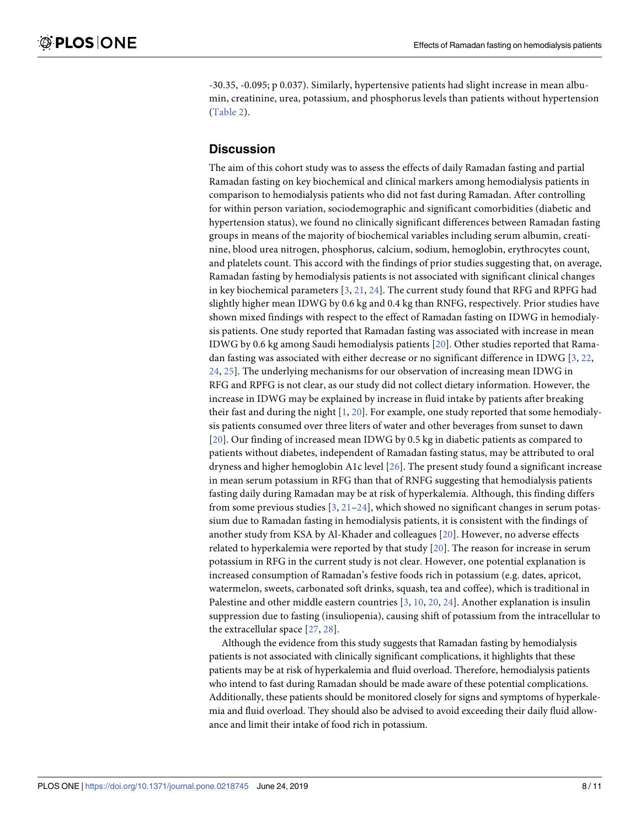<span id="page-7-0"></span>-30.35, -0.095; p 0.037). Similarly, hypertensive patients had slight increase in mean albumin, creatinine, urea, potassium, and phosphorus levels than patients without hypertension ([Table](#page-4-0) 2).

# **Discussion**

The aim of this cohort study was to assess the effects of daily Ramadan fasting and partial Ramadan fasting on key biochemical and clinical markers among hemodialysis patients in comparison to hemodialysis patients who did not fast during Ramadan. After controlling for within person variation, sociodemographic and significant comorbidities (diabetic and hypertension status), we found no clinically significant differences between Ramadan fasting groups in means of the majority of biochemical variables including serum albumin, creatinine, blood urea nitrogen, phosphorus, calcium, sodium, hemoglobin, erythrocytes count, and platelets count. This accord with the findings of prior studies suggesting that, on average, Ramadan fasting by hemodialysis patients is not associated with significant clinical changes in key biochemical parameters [[3](#page-9-0), [21,](#page-10-0) [24\]](#page-10-0). The current study found that RFG and RPFG had slightly higher mean IDWG by 0.6 kg and 0.4 kg than RNFG, respectively. Prior studies have shown mixed findings with respect to the effect of Ramadan fasting on IDWG in hemodialysis patients. One study reported that Ramadan fasting was associated with increase in mean IDWG by 0.6 kg among Saudi hemodialysis patients [[20\]](#page-10-0). Other studies reported that Ramadan fasting was associated with either decrease or no significant difference in IDWG [[3,](#page-9-0) [22,](#page-10-0) [24,](#page-10-0) [25\]](#page-10-0). The underlying mechanisms for our observation of increasing mean IDWG in RFG and RPFG is not clear, as our study did not collect dietary information. However, the increase in IDWG may be explained by increase in fluid intake by patients after breaking their fast and during the night [\[1,](#page-9-0) [20](#page-10-0)]. For example, one study reported that some hemodialysis patients consumed over three liters of water and other beverages from sunset to dawn [\[20](#page-10-0)]. Our finding of increased mean IDWG by 0.5 kg in diabetic patients as compared to patients without diabetes, independent of Ramadan fasting status, may be attributed to oral dryness and higher hemoglobin A1c level [[26](#page-10-0)]. The present study found a significant increase in mean serum potassium in RFG than that of RNFG suggesting that hemodialysis patients fasting daily during Ramadan may be at risk of hyperkalemia. Although, this finding differs from some previous studies  $[3, 21-24]$  $[3, 21-24]$  $[3, 21-24]$  $[3, 21-24]$  $[3, 21-24]$  $[3, 21-24]$ , which showed no significant changes in serum potassium due to Ramadan fasting in hemodialysis patients, it is consistent with the findings of another study from KSA by Al-Khader and colleagues [[20](#page-10-0)]. However, no adverse effects related to hyperkalemia were reported by that study [[20\]](#page-10-0). The reason for increase in serum potassium in RFG in the current study is not clear. However, one potential explanation is increased consumption of Ramadan's festive foods rich in potassium (e.g. dates, apricot, watermelon, sweets, carbonated soft drinks, squash, tea and coffee), which is traditional in Palestine and other middle eastern countries [\[3,](#page-9-0) [10](#page-9-0), [20,](#page-10-0) [24\]](#page-10-0). Another explanation is insulin suppression due to fasting (insuliopenia), causing shift of potassium from the intracellular to the extracellular space [\[27,](#page-10-0) [28](#page-10-0)].

Although the evidence from this study suggests that Ramadan fasting by hemodialysis patients is not associated with clinically significant complications, it highlights that these patients may be at risk of hyperkalemia and fluid overload. Therefore, hemodialysis patients who intend to fast during Ramadan should be made aware of these potential complications. Additionally, these patients should be monitored closely for signs and symptoms of hyperkalemia and fluid overload. They should also be advised to avoid exceeding their daily fluid allowance and limit their intake of food rich in potassium.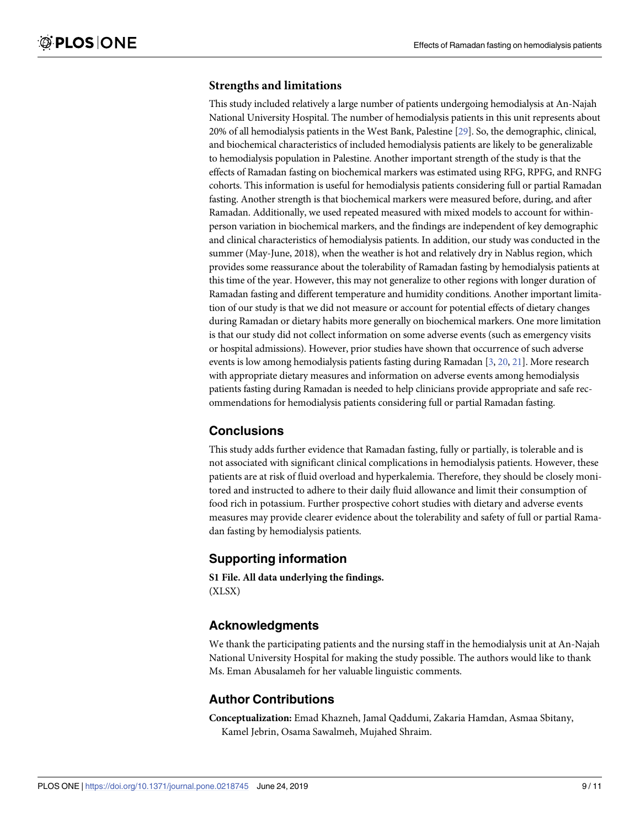#### <span id="page-8-0"></span>**Strengths and limitations**

This study included relatively a large number of patients undergoing hemodialysis at An-Najah National University Hospital. The number of hemodialysis patients in this unit represents about 20% of all hemodialysis patients in the West Bank, Palestine [[29\]](#page-10-0). So, the demographic, clinical, and biochemical characteristics of included hemodialysis patients are likely to be generalizable to hemodialysis population in Palestine. Another important strength of the study is that the effects of Ramadan fasting on biochemical markers was estimated using RFG, RPFG, and RNFG cohorts. This information is useful for hemodialysis patients considering full or partial Ramadan fasting. Another strength is that biochemical markers were measured before, during, and after Ramadan. Additionally, we used repeated measured with mixed models to account for withinperson variation in biochemical markers, and the findings are independent of key demographic and clinical characteristics of hemodialysis patients. In addition, our study was conducted in the summer (May-June, 2018), when the weather is hot and relatively dry in Nablus region, which provides some reassurance about the tolerability of Ramadan fasting by hemodialysis patients at this time of the year. However, this may not generalize to other regions with longer duration of Ramadan fasting and different temperature and humidity conditions. Another important limitation of our study is that we did not measure or account for potential effects of dietary changes during Ramadan or dietary habits more generally on biochemical markers. One more limitation is that our study did not collect information on some adverse events (such as emergency visits or hospital admissions). However, prior studies have shown that occurrence of such adverse events is low among hemodialysis patients fasting during Ramadan [\[3](#page-9-0), [20,](#page-10-0) [21\]](#page-10-0). More research with appropriate dietary measures and information on adverse events among hemodialysis patients fasting during Ramadan is needed to help clinicians provide appropriate and safe recommendations for hemodialysis patients considering full or partial Ramadan fasting.

## **Conclusions**

This study adds further evidence that Ramadan fasting, fully or partially, is tolerable and is not associated with significant clinical complications in hemodialysis patients. However, these patients are at risk of fluid overload and hyperkalemia. Therefore, they should be closely monitored and instructed to adhere to their daily fluid allowance and limit their consumption of food rich in potassium. Further prospective cohort studies with dietary and adverse events measures may provide clearer evidence about the tolerability and safety of full or partial Ramadan fasting by hemodialysis patients.

## **Supporting information**

**S1 [File.](http://www.plosone.org/article/fetchSingleRepresentation.action?uri=info:doi/10.1371/journal.pone.0218745.s001) All data underlying the findings.** (XLSX)

#### **Acknowledgments**

We thank the participating patients and the nursing staff in the hemodialysis unit at An-Najah National University Hospital for making the study possible. The authors would like to thank Ms. Eman Abusalameh for her valuable linguistic comments.

#### **Author Contributions**

**Conceptualization:** Emad Khazneh, Jamal Qaddumi, Zakaria Hamdan, Asmaa Sbitany, Kamel Jebrin, Osama Sawalmeh, Mujahed Shraim.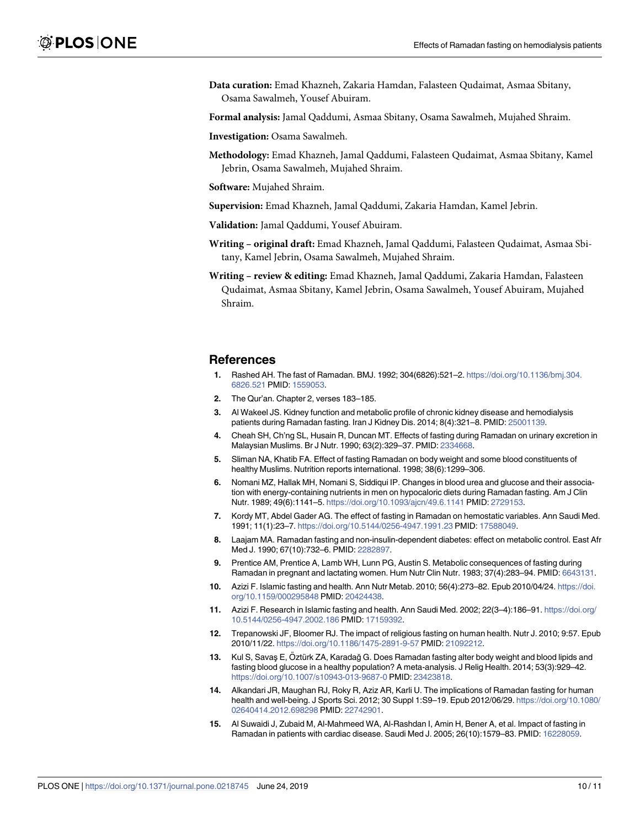<span id="page-9-0"></span>**Data curation:** Emad Khazneh, Zakaria Hamdan, Falasteen Qudaimat, Asmaa Sbitany, Osama Sawalmeh, Yousef Abuiram.

**Formal analysis:** Jamal Qaddumi, Asmaa Sbitany, Osama Sawalmeh, Mujahed Shraim.

- **Investigation:** Osama Sawalmeh.
- **Methodology:** Emad Khazneh, Jamal Qaddumi, Falasteen Qudaimat, Asmaa Sbitany, Kamel Jebrin, Osama Sawalmeh, Mujahed Shraim.
- **Software:** Mujahed Shraim.
- **Supervision:** Emad Khazneh, Jamal Qaddumi, Zakaria Hamdan, Kamel Jebrin.
- **Validation:** Jamal Qaddumi, Yousef Abuiram.
- **Writing – original draft:** Emad Khazneh, Jamal Qaddumi, Falasteen Qudaimat, Asmaa Sbitany, Kamel Jebrin, Osama Sawalmeh, Mujahed Shraim.
- **Writing – review & editing:** Emad Khazneh, Jamal Qaddumi, Zakaria Hamdan, Falasteen Qudaimat, Asmaa Sbitany, Kamel Jebrin, Osama Sawalmeh, Yousef Abuiram, Mujahed Shraim.

#### **References**

- **[1](#page-1-0).** Rashed AH. The fast of Ramadan. BMJ. 1992; 304(6826):521–2. [https://doi.org/10.1136/bmj.304.](https://doi.org/10.1136/bmj.304.6826.521) [6826.521](https://doi.org/10.1136/bmj.304.6826.521) PMID: [1559053](http://www.ncbi.nlm.nih.gov/pubmed/1559053).
- **2.** The Qur'an. Chapter 2, verses 183–185.
- **[3](#page-1-0).** Al Wakeel JS. Kidney function and metabolic profile of chronic kidney disease and hemodialysis patients during Ramadan fasting. Iran J Kidney Dis. 2014; 8(4):321-8. PMID: [25001139](http://www.ncbi.nlm.nih.gov/pubmed/25001139).
- **4.** Cheah SH, Ch'ng SL, Husain R, Duncan MT. Effects of fasting during Ramadan on urinary excretion in Malaysian Muslims. Br J Nutr. 1990; 63(2):329–37. PMID: [2334668](http://www.ncbi.nlm.nih.gov/pubmed/2334668).
- **5.** Sliman NA, Khatib FA. Effect of fasting Ramadan on body weight and some blood constituents of healthy Muslims. Nutrition reports international. 1998; 38(6):1299–306.
- **6.** Nomani MZ, Hallak MH, Nomani S, Siddiqui IP. Changes in blood urea and glucose and their association with energy-containing nutrients in men on hypocaloric diets during Ramadan fasting. Am J Clin Nutr. 1989; 49(6):1141–5. <https://doi.org/10.1093/ajcn/49.6.1141> PMID: [2729153](http://www.ncbi.nlm.nih.gov/pubmed/2729153).
- **7.** Kordy MT, Abdel Gader AG. The effect of fasting in Ramadan on hemostatic variables. Ann Saudi Med. 1991; 11(1):23–7. <https://doi.org/10.5144/0256-4947.1991.23> PMID: [17588049.](http://www.ncbi.nlm.nih.gov/pubmed/17588049)
- **8.** Laajam MA. Ramadan fasting and non-insulin-dependent diabetes: effect on metabolic control. East Afr Med J. 1990; 67(10):732–6. PMID: [2282897.](http://www.ncbi.nlm.nih.gov/pubmed/2282897)
- **[9](#page-1-0).** Prentice AM, Prentice A, Lamb WH, Lunn PG, Austin S. Metabolic consequences of fasting during Ramadan in pregnant and lactating women. Hum Nutr Clin Nutr. 1983; 37(4):283–94. PMID: [6643131.](http://www.ncbi.nlm.nih.gov/pubmed/6643131)
- **[10](#page-1-0).** Azizi F. Islamic fasting and health. Ann Nutr Metab. 2010; 56(4):273–82. Epub 2010/04/24. [https://doi.](https://doi.org/10.1159/000295848) [org/10.1159/000295848](https://doi.org/10.1159/000295848) PMID: [20424438](http://www.ncbi.nlm.nih.gov/pubmed/20424438).
- **[11](#page-1-0).** Azizi F. Research in Islamic fasting and health. Ann Saudi Med. 2002; 22(3–4):186–91. [https://doi.org/](https://doi.org/10.5144/0256-4947.2002.186) [10.5144/0256-4947.2002.186](https://doi.org/10.5144/0256-4947.2002.186) PMID: [17159392](http://www.ncbi.nlm.nih.gov/pubmed/17159392).
- **12.** Trepanowski JF, Bloomer RJ. The impact of religious fasting on human health. Nutr J. 2010; 9:57. Epub 2010/11/22. <https://doi.org/10.1186/1475-2891-9-57> PMID: [21092212](http://www.ncbi.nlm.nih.gov/pubmed/21092212).
- **[13](#page-1-0).** Kul S, Savaş E, Öztürk ZA, Karadağ G. Does Ramadan fasting alter body weight and blood lipids and fasting blood glucose in a healthy population? A meta-analysis. J Relig Health. 2014; 53(3):929–42. <https://doi.org/10.1007/s10943-013-9687-0> PMID: [23423818.](http://www.ncbi.nlm.nih.gov/pubmed/23423818)
- **[14](#page-1-0).** Alkandari JR, Maughan RJ, Roky R, Aziz AR, Karli U. The implications of Ramadan fasting for human health and well-being. J Sports Sci. 2012; 30 Suppl 1:S9–19. Epub 2012/06/29. [https://doi.org/10.1080/](https://doi.org/10.1080/02640414.2012.698298) [02640414.2012.698298](https://doi.org/10.1080/02640414.2012.698298) PMID: [22742901.](http://www.ncbi.nlm.nih.gov/pubmed/22742901)
- **[15](#page-1-0).** Al Suwaidi J, Zubaid M, Al-Mahmeed WA, Al-Rashdan I, Amin H, Bener A, et al. Impact of fasting in Ramadan in patients with cardiac disease. Saudi Med J. 2005; 26(10):1579–83. PMID: [16228059.](http://www.ncbi.nlm.nih.gov/pubmed/16228059)